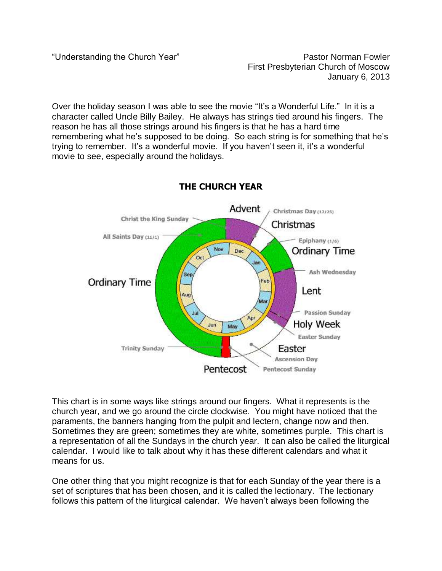"Understanding the Church Year" example and the Pastor Norman Fowler First Presbyterian Church of Moscow January 6, 2013

Over the holiday season I was able to see the movie "It's a Wonderful Life." In it is a character called Uncle Billy Bailey. He always has strings tied around his fingers. The reason he has all those strings around his fingers is that he has a hard time remembering what he's supposed to be doing. So each string is for something that he's trying to remember. It's a wonderful movie. If you haven't seen it, it's a wonderful movie to see, especially around the holidays.



## **THE CHURCH YEAR**

This chart is in some ways like strings around our fingers. What it represents is the church year, and we go around the circle clockwise. You might have noticed that the paraments, the banners hanging from the pulpit and lectern, change now and then. Sometimes they are green; sometimes they are white, sometimes purple. This chart is a representation of all the Sundays in the church year. It can also be called the liturgical calendar. I would like to talk about why it has these different calendars and what it means for us.

One other thing that you might recognize is that for each Sunday of the year there is a set of scriptures that has been chosen, and it is called the lectionary. The lectionary follows this pattern of the liturgical calendar. We haven't always been following the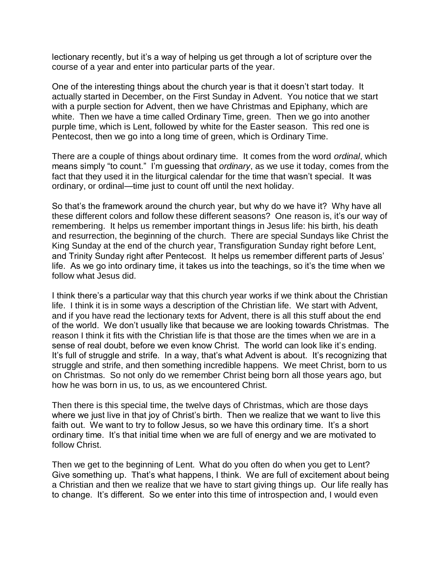lectionary recently, but it's a way of helping us get through a lot of scripture over the course of a year and enter into particular parts of the year.

One of the interesting things about the church year is that it doesn't start today. It actually started in December, on the First Sunday in Advent. You notice that we start with a purple section for Advent, then we have Christmas and Epiphany, which are white. Then we have a time called Ordinary Time, green. Then we go into another purple time, which is Lent, followed by white for the Easter season. This red one is Pentecost, then we go into a long time of green, which is Ordinary Time.

There are a couple of things about ordinary time. It comes from the word *ordinal*, which means simply "to count." I'm guessing that *ordinary*, as we use it today, comes from the fact that they used it in the liturgical calendar for the time that wasn't special. It was ordinary, or ordinal—time just to count off until the next holiday.

So that's the framework around the church year, but why do we have it? Why have all these different colors and follow these different seasons? One reason is, it's our way of remembering. It helps us remember important things in Jesus life: his birth, his death and resurrection, the beginning of the church. There are special Sundays like Christ the King Sunday at the end of the church year, Transfiguration Sunday right before Lent, and Trinity Sunday right after Pentecost. It helps us remember different parts of Jesus' life. As we go into ordinary time, it takes us into the teachings, so it's the time when we follow what Jesus did.

I think there's a particular way that this church year works if we think about the Christian life. I think it is in some ways a description of the Christian life. We start with Advent, and if you have read the lectionary texts for Advent, there is all this stuff about the end of the world. We don't usually like that because we are looking towards Christmas. The reason I think it fits with the Christian life is that those are the times when we are in a sense of real doubt, before we even know Christ. The world can look like it's ending. It's full of struggle and strife. In a way, that's what Advent is about. It's recognizing that struggle and strife, and then something incredible happens. We meet Christ, born to us on Christmas. So not only do we remember Christ being born all those years ago, but how he was born in us, to us, as we encountered Christ.

Then there is this special time, the twelve days of Christmas, which are those days where we just live in that joy of Christ's birth. Then we realize that we want to live this faith out. We want to try to follow Jesus, so we have this ordinary time. It's a short ordinary time. It's that initial time when we are full of energy and we are motivated to follow Christ.

Then we get to the beginning of Lent. What do you often do when you get to Lent? Give something up. That's what happens, I think. We are full of excitement about being a Christian and then we realize that we have to start giving things up. Our life really has to change. It's different. So we enter into this time of introspection and, I would even